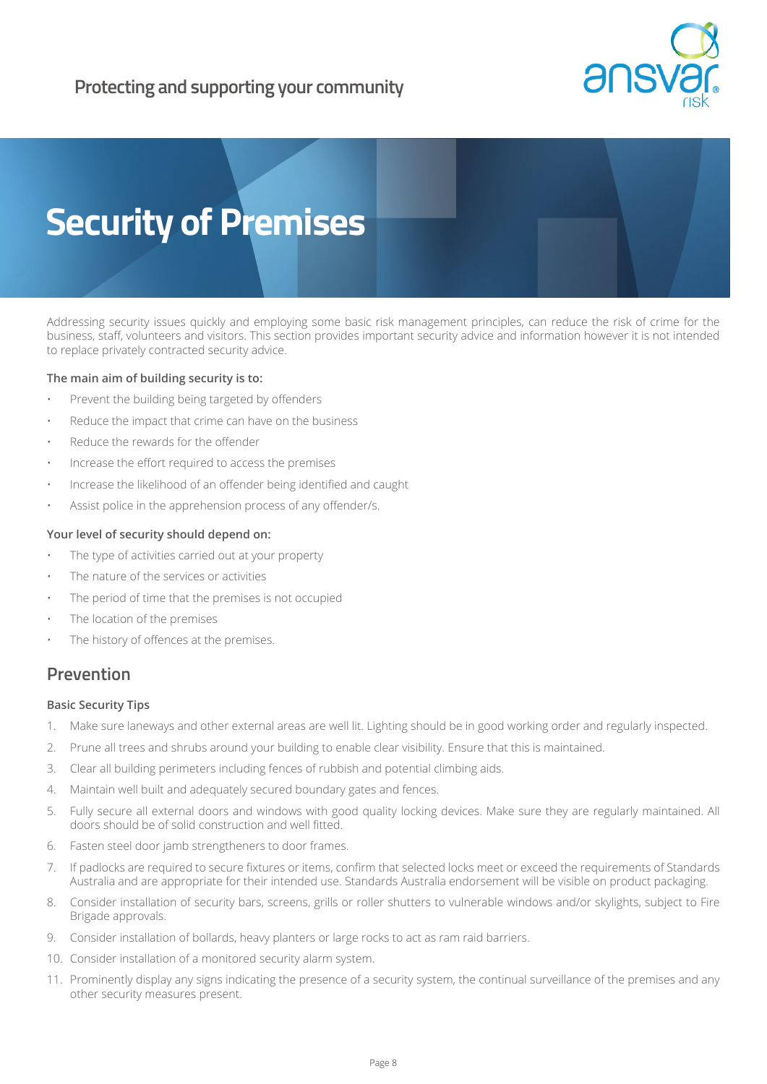



Addressing security issues quickly and employing some basic risk management principles, can reduce the risk of crime for the business, staff, volunteers and visitors. This section provides important security advice and information however it is not intended to replace privately contracted security advice.

## **The main aim of building security is to:**

- Prevent the building being targeted by offenders
- Reduce the impact that crime can have on the business
- Reduce the rewards for the offender
- Increase the effort required to access the premises
- Increase the likelihood of an offender being identified and caught
- Assist police in the apprehension process of any offender/s.

## **Your level of security should depend on:**

- The type of activities carried out at your property
- The nature of the services or activities
- The period of time that the premises is not occupied
- The location of the premises
- The history of offences at the premises.

## **Prevention**

## **Basic Security Tips**

- 1. Make sure laneways and other external areas are well lit. Lighting should be in good working order and regularly inspected.
- 2. Prune all trees and shrubs around your building to enable clear visibility. Ensure that this is maintained.
- 3. Clear all building perimeters including fences of rubbish and potential climbing aids.
- 4. Maintain well built and adequately secured boundary gates and fences.
- 5. Fully secure all external doors and windows with good quality locking devices. Make sure they are regularly maintained. All doors should be of solid construction and well fitted.
- 6. Fasten steel door jamb strengtheners to door frames.
- 7. If padlocks are required to secure fixtures or items, confirm that selected locks meet or exceed the requirements of Standards Australia and are appropriate for their intended use. Standards Australia endorsement will be visible on product packaging.
- 8. Consider installation of security bars, screens, grills or roller shutters to vulnerable windows and/or skylights, subject to Fire Brigade approvals.
- 9. Consider installation of bollards, heavy planters or large rocks to act as ram raid barriers.
- 10. Consider installation of a monitored security alarm system.
- 11. Prominently display any signs indicating the presence of a security system, the continual surveillance of the premises and any other security measures present.